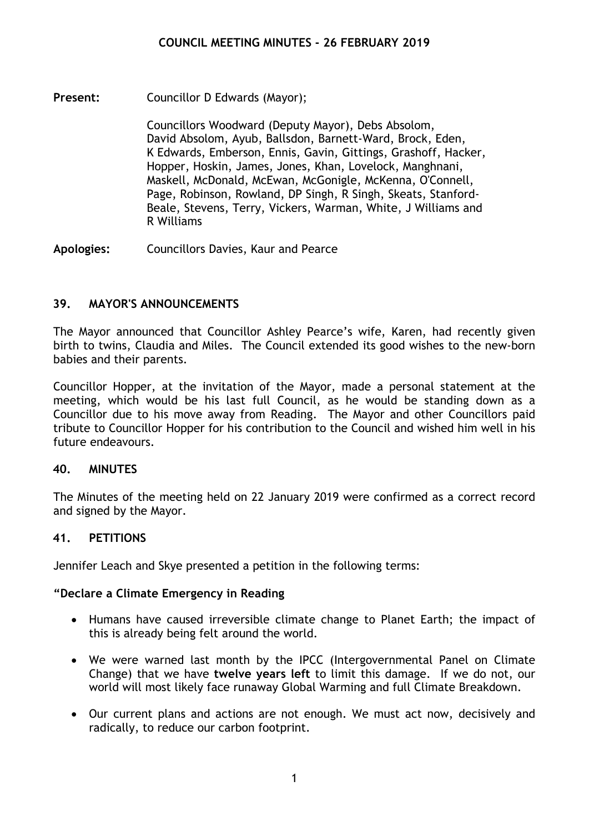**Present:** Councillor D Edwards (Mayor);

Councillors Woodward (Deputy Mayor), Debs Absolom, David Absolom, Ayub, Ballsdon, Barnett-Ward, Brock, Eden, K Edwards, Emberson, Ennis, Gavin, Gittings, Grashoff, Hacker, Hopper, Hoskin, James, Jones, Khan, Lovelock, Manghnani, Maskell, McDonald, McEwan, McGonigle, McKenna, O'Connell, Page, Robinson, Rowland, DP Singh, R Singh, Skeats, Stanford-Beale, Stevens, Terry, Vickers, Warman, White, J Williams and R Williams

**Apologies:** Councillors Davies, Kaur and Pearce

# **39. MAYOR'S ANNOUNCEMENTS**

The Mayor announced that Councillor Ashley Pearce's wife, Karen, had recently given birth to twins, Claudia and Miles. The Council extended its good wishes to the new-born babies and their parents.

Councillor Hopper, at the invitation of the Mayor, made a personal statement at the meeting, which would be his last full Council, as he would be standing down as a Councillor due to his move away from Reading. The Mayor and other Councillors paid tribute to Councillor Hopper for his contribution to the Council and wished him well in his future endeavours.

# **40. MINUTES**

The Minutes of the meeting held on 22 January 2019 were confirmed as a correct record and signed by the Mayor.

# **41. PETITIONS**

Jennifer Leach and Skye presented a petition in the following terms:

# **"Declare a Climate Emergency in Reading**

- Humans have caused irreversible climate change to Planet Earth; the impact of this is already being felt around the world.
- We were warned last month by the IPCC (Intergovernmental Panel on Climate Change) that we have **twelve years left** to limit this damage. If we do not, our world will most likely face runaway Global Warming and full Climate Breakdown.
- Our current plans and actions are not enough. We must act now, decisively and radically, to reduce our carbon footprint.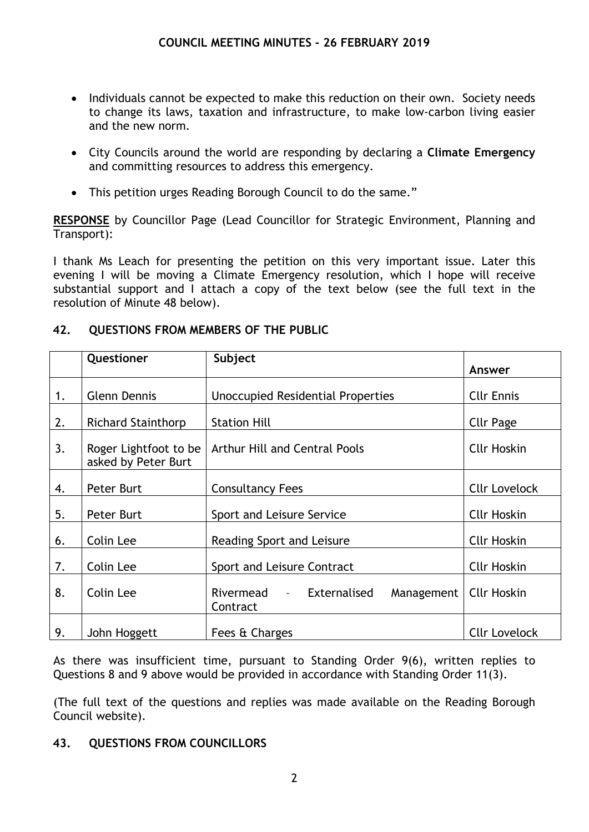- Individuals cannot be expected to make this reduction on their own. Society needs to change its laws, taxation and infrastructure, to make low-carbon living easier and the new norm.
- City Councils around the world are responding by declaring a **Climate Emergency** and committing resources to address this emergency.
- This petition urges Reading Borough Council to do the same."

**RESPONSE** by Councillor Page (Lead Councillor for Strategic Environment, Planning and Transport):

I thank Ms Leach for presenting the petition on this very important issue. Later this evening I will be moving a Climate Emergency resolution, which I hope will receive substantial support and I attach a copy of the text below (see the full text in the resolution of Minute 48 below).

|    | Questioner                                   | Subject                                               | Answer               |
|----|----------------------------------------------|-------------------------------------------------------|----------------------|
| 1. | <b>Glenn Dennis</b>                          | Unoccupied Residential Properties                     | <b>Cllr Ennis</b>    |
| 2. | <b>Richard Stainthorp</b>                    | <b>Station Hill</b>                                   | <b>Cllr Page</b>     |
| 3. | Roger Lightfoot to be<br>asked by Peter Burt | Arthur Hill and Central Pools                         | <b>Cllr Hoskin</b>   |
| 4. | Peter Burt                                   | <b>Consultancy Fees</b>                               | <b>Cllr Lovelock</b> |
| 5. | Peter Burt                                   | Sport and Leisure Service                             | <b>Cllr Hoskin</b>   |
| 6. | Colin Lee                                    | Reading Sport and Leisure                             | <b>Cllr Hoskin</b>   |
| 7. | Colin Lee                                    | Sport and Leisure Contract                            | <b>Cllr Hoskin</b>   |
| 8. | Colin Lee                                    | Rivermead<br>- Externalised<br>Management<br>Contract | <b>Cllr Hoskin</b>   |
| 9. | John Hoggett                                 | Fees & Charges                                        | <b>Cllr Lovelock</b> |

# **42. QUESTIONS FROM MEMBERS OF THE PUBLIC**

As there was insufficient time, pursuant to Standing Order 9(6), written replies to Questions 8 and 9 above would be provided in accordance with Standing Order 11(3).

(The full text of the questions and replies was made available on the Reading Borough Council website).

# **43. QUESTIONS FROM COUNCILLORS**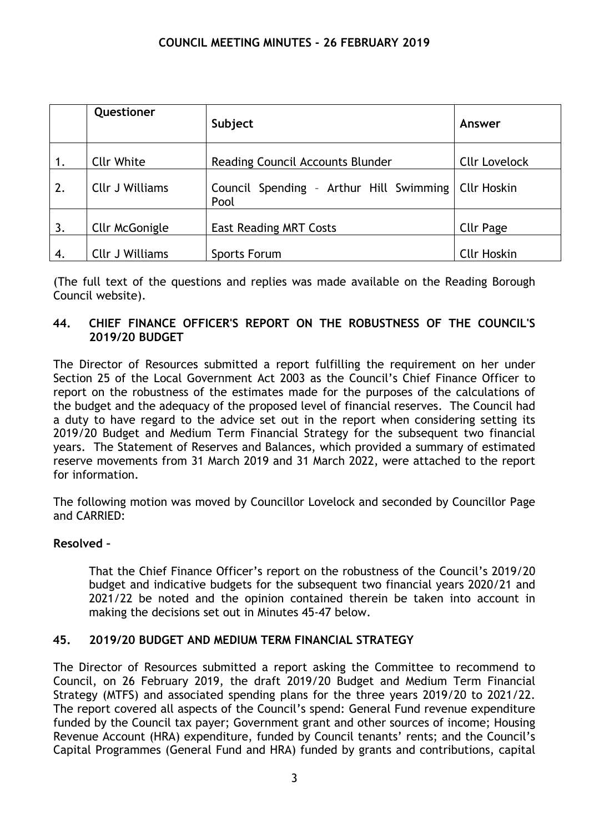|    | Questioner             | Subject                                         | Answer               |
|----|------------------------|-------------------------------------------------|----------------------|
| 1. | <b>Cllr White</b>      | <b>Reading Council Accounts Blunder</b>         | <b>Cllr Lovelock</b> |
| 2. | <b>Cllr J Williams</b> | Council Spending - Arthur Hill Swimming<br>Pool | <b>Cllr Hoskin</b>   |
| 3. | Cllr McGonigle         | <b>East Reading MRT Costs</b>                   | <b>Cllr Page</b>     |
| 4. | <b>Cllr J Williams</b> | Sports Forum                                    | <b>Cllr Hoskin</b>   |

(The full text of the questions and replies was made available on the Reading Borough Council website).

# **44. CHIEF FINANCE OFFICER'S REPORT ON THE ROBUSTNESS OF THE COUNCIL'S 2019/20 BUDGET**

The Director of Resources submitted a report fulfilling the requirement on her under Section 25 of the Local Government Act 2003 as the Council's Chief Finance Officer to report on the robustness of the estimates made for the purposes of the calculations of the budget and the adequacy of the proposed level of financial reserves. The Council had a duty to have regard to the advice set out in the report when considering setting its 2019/20 Budget and Medium Term Financial Strategy for the subsequent two financial years. The Statement of Reserves and Balances, which provided a summary of estimated reserve movements from 31 March 2019 and 31 March 2022, were attached to the report for information.

The following motion was moved by Councillor Lovelock and seconded by Councillor Page and CARRIED:

# **Resolved –**

That the Chief Finance Officer's report on the robustness of the Council's 2019/20 budget and indicative budgets for the subsequent two financial years 2020/21 and 2021/22 be noted and the opinion contained therein be taken into account in making the decisions set out in Minutes 45-47 below.

# **45. 2019/20 BUDGET AND MEDIUM TERM FINANCIAL STRATEGY**

The Director of Resources submitted a report asking the Committee to recommend to Council, on 26 February 2019, the draft 2019/20 Budget and Medium Term Financial Strategy (MTFS) and associated spending plans for the three years 2019/20 to 2021/22. The report covered all aspects of the Council's spend: General Fund revenue expenditure funded by the Council tax payer; Government grant and other sources of income; Housing Revenue Account (HRA) expenditure, funded by Council tenants' rents; and the Council's Capital Programmes (General Fund and HRA) funded by grants and contributions, capital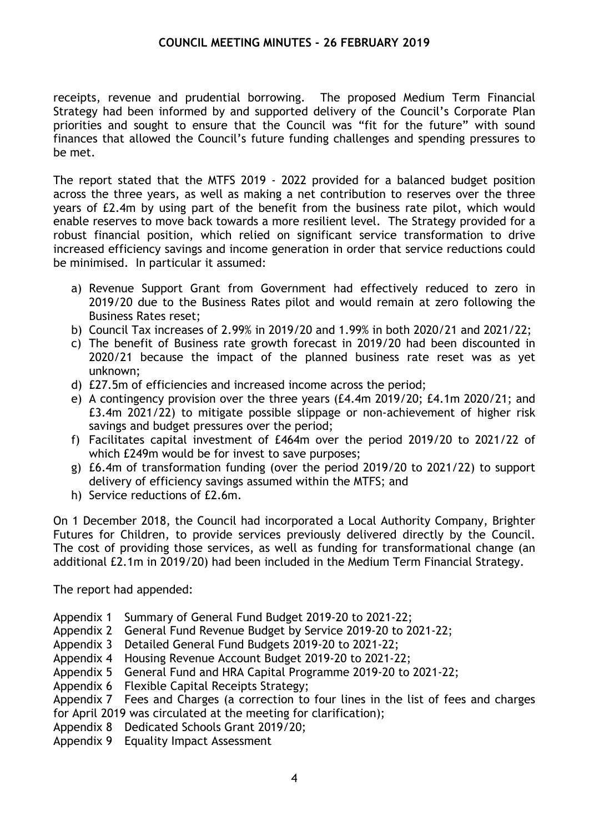receipts, revenue and prudential borrowing. The proposed Medium Term Financial Strategy had been informed by and supported delivery of the Council's Corporate Plan priorities and sought to ensure that the Council was "fit for the future" with sound finances that allowed the Council's future funding challenges and spending pressures to be met.

The report stated that the MTFS 2019 - 2022 provided for a balanced budget position across the three years, as well as making a net contribution to reserves over the three years of £2.4m by using part of the benefit from the business rate pilot, which would enable reserves to move back towards a more resilient level. The Strategy provided for a robust financial position, which relied on significant service transformation to drive increased efficiency savings and income generation in order that service reductions could be minimised. In particular it assumed:

- a) Revenue Support Grant from Government had effectively reduced to zero in 2019/20 due to the Business Rates pilot and would remain at zero following the Business Rates reset;
- b) Council Tax increases of 2.99% in 2019/20 and 1.99% in both 2020/21 and 2021/22;
- c) The benefit of Business rate growth forecast in 2019/20 had been discounted in 2020/21 because the impact of the planned business rate reset was as yet unknown;
- d) £27.5m of efficiencies and increased income across the period;
- e) A contingency provision over the three years (£4.4m 2019/20; £4.1m 2020/21; and £3.4m 2021/22) to mitigate possible slippage or non-achievement of higher risk savings and budget pressures over the period;
- f) Facilitates capital investment of £464m over the period 2019/20 to 2021/22 of which £249m would be for invest to save purposes;
- g) £6.4m of transformation funding (over the period 2019/20 to 2021/22) to support delivery of efficiency savings assumed within the MTFS; and
- h) Service reductions of £2.6m.

On 1 December 2018, the Council had incorporated a Local Authority Company, Brighter Futures for Children, to provide services previously delivered directly by the Council. The cost of providing those services, as well as funding for transformational change (an additional £2.1m in 2019/20) had been included in the Medium Term Financial Strategy.

The report had appended:

- Appendix 1 Summary of General Fund Budget 2019-20 to 2021-22;
- Appendix 2 General Fund Revenue Budget by Service 2019-20 to 2021-22;
- Appendix 3 Detailed General Fund Budgets 2019-20 to 2021-22;
- Appendix 4 Housing Revenue Account Budget 2019-20 to 2021-22;
- Appendix 5 General Fund and HRA Capital Programme 2019-20 to 2021-22;
- Appendix 6 Flexible Capital Receipts Strategy;

Appendix 7 Fees and Charges (a correction to four lines in the list of fees and charges for April 2019 was circulated at the meeting for clarification);

- Appendix 8 Dedicated Schools Grant 2019/20;
- Appendix 9 Equality Impact Assessment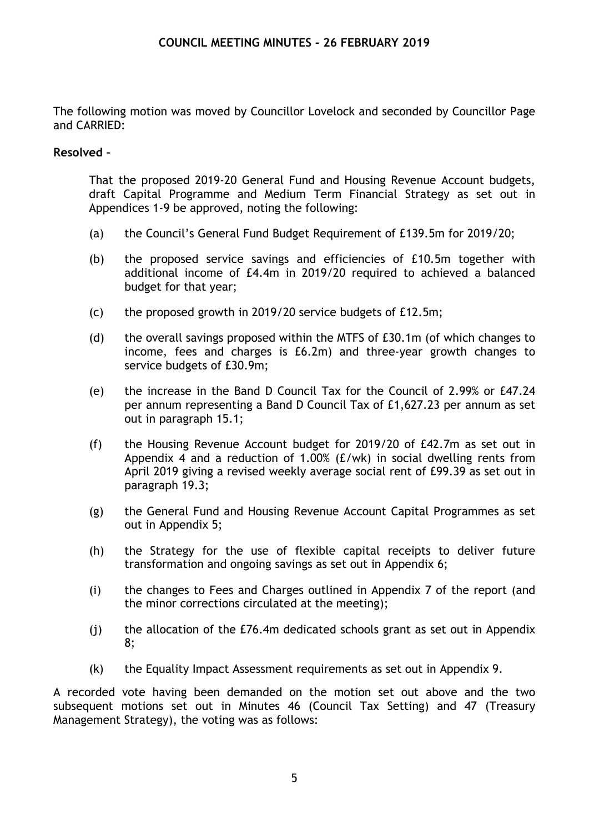The following motion was moved by Councillor Lovelock and seconded by Councillor Page and CARRIED:

#### **Resolved –**

That the proposed 2019-20 General Fund and Housing Revenue Account budgets, draft Capital Programme and Medium Term Financial Strategy as set out in Appendices 1-9 be approved, noting the following:

- (a) the Council's General Fund Budget Requirement of £139.5m for 2019/20;
- (b) the proposed service savings and efficiencies of £10.5m together with additional income of £4.4m in 2019/20 required to achieved a balanced budget for that year;
- (c) the proposed growth in 2019/20 service budgets of £12.5m;
- (d) the overall savings proposed within the MTFS of £30.1m (of which changes to income, fees and charges is £6.2m) and three-year growth changes to service budgets of £30.9m;
- (e) the increase in the Band D Council Tax for the Council of 2.99% or £47.24 per annum representing a Band D Council Tax of £1,627.23 per annum as set out in paragraph 15.1;
- (f) the Housing Revenue Account budget for 2019/20 of £42.7m as set out in Appendix 4 and a reduction of 1.00% (£/wk) in social dwelling rents from April 2019 giving a revised weekly average social rent of £99.39 as set out in paragraph 19.3;
- (g) the General Fund and Housing Revenue Account Capital Programmes as set out in Appendix 5;
- (h) the Strategy for the use of flexible capital receipts to deliver future transformation and ongoing savings as set out in Appendix 6;
- (i) the changes to Fees and Charges outlined in Appendix 7 of the report (and the minor corrections circulated at the meeting);
- (j) the allocation of the £76.4m dedicated schools grant as set out in Appendix 8;
- (k) the Equality Impact Assessment requirements as set out in Appendix 9.

A recorded vote having been demanded on the motion set out above and the two subsequent motions set out in Minutes 46 (Council Tax Setting) and 47 (Treasury Management Strategy), the voting was as follows: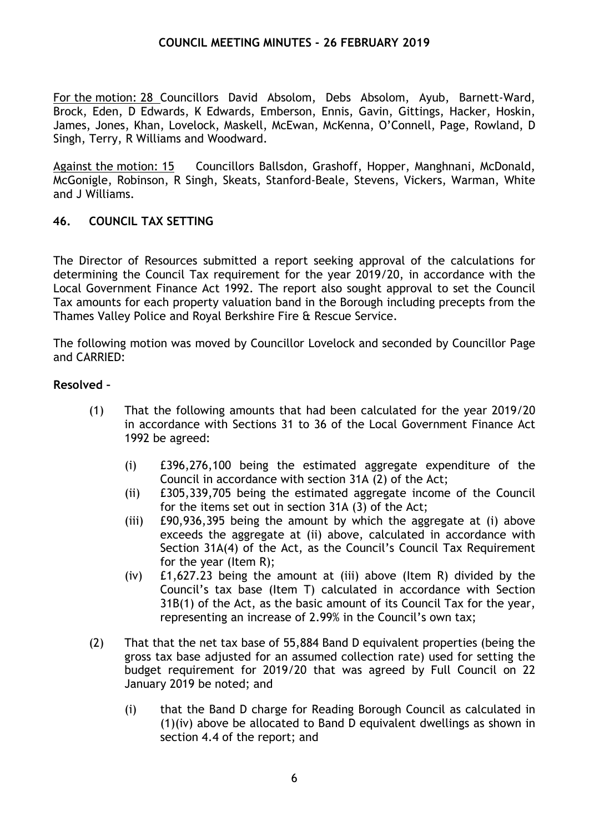For the motion: 28 Councillors David Absolom, Debs Absolom, Ayub, Barnett-Ward, Brock, Eden, D Edwards, K Edwards, Emberson, Ennis, Gavin, Gittings, Hacker, Hoskin, James, Jones, Khan, Lovelock, Maskell, McEwan, McKenna, O'Connell, Page, Rowland, D Singh, Terry, R Williams and Woodward.

Against the motion: 15 Councillors Ballsdon, Grashoff, Hopper, Manghnani, McDonald, McGonigle, Robinson, R Singh, Skeats, Stanford-Beale, Stevens, Vickers, Warman, White and J Williams.

# **46. COUNCIL TAX SETTING**

The Director of Resources submitted a report seeking approval of the calculations for determining the Council Tax requirement for the year 2019/20, in accordance with the Local Government Finance Act 1992. The report also sought approval to set the Council Tax amounts for each property valuation band in the Borough including precepts from the Thames Valley Police and Royal Berkshire Fire & Rescue Service.

The following motion was moved by Councillor Lovelock and seconded by Councillor Page and CARRIED:

#### **Resolved –**

- (1) That the following amounts that had been calculated for the year 2019/20 in accordance with Sections 31 to 36 of the Local Government Finance Act 1992 be agreed:
	- (i) £396,276,100 being the estimated aggregate expenditure of the Council in accordance with section 31A (2) of the Act;
	- (ii) £305,339,705 being the estimated aggregate income of the Council for the items set out in section 31A (3) of the Act;
	- (iii) £90,936,395 being the amount by which the aggregate at (i) above exceeds the aggregate at (ii) above, calculated in accordance with Section 31A(4) of the Act, as the Council's Council Tax Requirement for the year (Item R);
	- (iv) £1,627.23 being the amount at (iii) above (Item R) divided by the Council's tax base (Item T) calculated in accordance with Section 31B(1) of the Act, as the basic amount of its Council Tax for the year, representing an increase of 2.99% in the Council's own tax;
- (2) That that the net tax base of 55,884 Band D equivalent properties (being the gross tax base adjusted for an assumed collection rate) used for setting the budget requirement for 2019/20 that was agreed by Full Council on 22 January 2019 be noted; and
	- (i) that the Band D charge for Reading Borough Council as calculated in (1)(iv) above be allocated to Band D equivalent dwellings as shown in section 4.4 of the report; and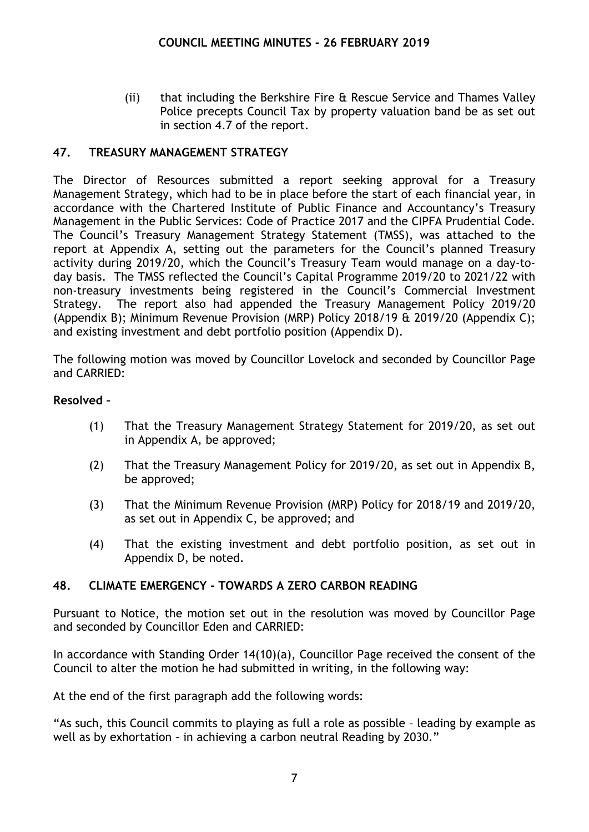(ii) that including the Berkshire Fire & Rescue Service and Thames Valley Police precepts Council Tax by property valuation band be as set out in section 4.7 of the report.

# **47. TREASURY MANAGEMENT STRATEGY**

The Director of Resources submitted a report seeking approval for a Treasury Management Strategy, which had to be in place before the start of each financial year, in accordance with the Chartered Institute of Public Finance and Accountancy's Treasury Management in the Public Services: Code of Practice 2017 and the CIPFA Prudential Code. The Council's Treasury Management Strategy Statement (TMSS), was attached to the report at Appendix A, setting out the parameters for the Council's planned Treasury activity during 2019/20, which the Council's Treasury Team would manage on a day-today basis. The TMSS reflected the Council's Capital Programme 2019/20 to 2021/22 with non-treasury investments being registered in the Council's Commercial Investment Strategy. The report also had appended the Treasury Management Policy 2019/20 (Appendix B); Minimum Revenue Provision (MRP) Policy 2018/19 & 2019/20 (Appendix C); and existing investment and debt portfolio position (Appendix D).

The following motion was moved by Councillor Lovelock and seconded by Councillor Page and CARRIED:

#### **Resolved –**

- (1) That the Treasury Management Strategy Statement for 2019/20, as set out in Appendix A, be approved;
- (2) That the Treasury Management Policy for 2019/20, as set out in Appendix B, be approved;
- (3) That the Minimum Revenue Provision (MRP) Policy for 2018/19 and 2019/20, as set out in Appendix C, be approved; and
- (4) That the existing investment and debt portfolio position, as set out in Appendix D, be noted.

# **48. CLIMATE EMERGENCY - TOWARDS A ZERO CARBON READING**

Pursuant to Notice, the motion set out in the resolution was moved by Councillor Page and seconded by Councillor Eden and CARRIED:

In accordance with Standing Order 14(10)(a), Councillor Page received the consent of the Council to alter the motion he had submitted in writing, in the following way:

At the end of the first paragraph add the following words:

"As such, this Council commits to playing as full a role as possible – leading by example as well as by exhortation - in achieving a carbon neutral Reading by 2030."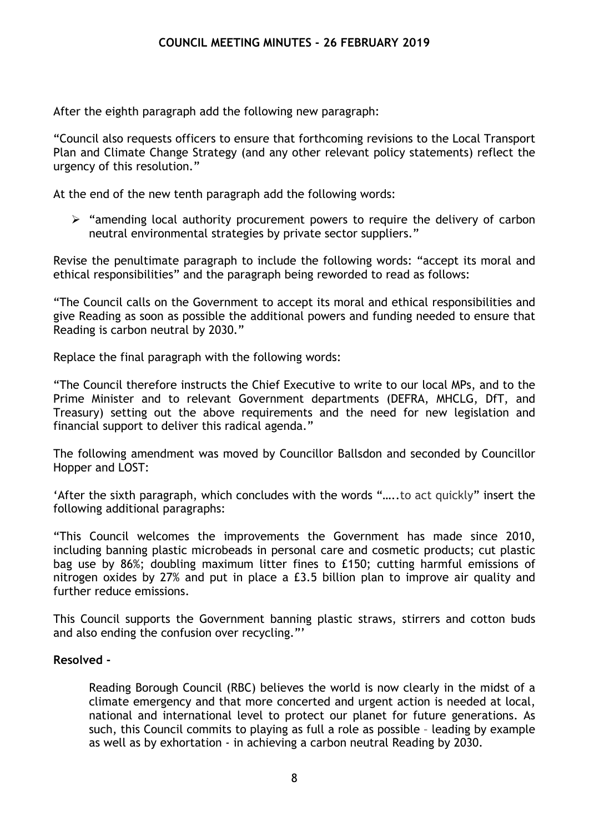After the eighth paragraph add the following new paragraph:

"Council also requests officers to ensure that forthcoming revisions to the Local Transport Plan and Climate Change Strategy (and any other relevant policy statements) reflect the urgency of this resolution."

At the end of the new tenth paragraph add the following words:

 $\triangleright$  "amending local authority procurement powers to require the delivery of carbon neutral environmental strategies by private sector suppliers."

Revise the penultimate paragraph to include the following words: "accept its moral and ethical responsibilities" and the paragraph being reworded to read as follows:

"The Council calls on the Government to accept its moral and ethical responsibilities and give Reading as soon as possible the additional powers and funding needed to ensure that Reading is carbon neutral by 2030."

Replace the final paragraph with the following words:

"The Council therefore instructs the Chief Executive to write to our local MPs, and to the Prime Minister and to relevant Government departments (DEFRA, MHCLG, DfT, and Treasury) setting out the above requirements and the need for new legislation and financial support to deliver this radical agenda."

The following amendment was moved by Councillor Ballsdon and seconded by Councillor Hopper and LOST:

'After the sixth paragraph, which concludes with the words "…..to act quickly" insert the following additional paragraphs:

"This Council welcomes the improvements the Government has made since 2010, including banning plastic microbeads in personal care and cosmetic products; cut plastic bag use by 86%; doubling maximum litter fines to £150; cutting harmful emissions of nitrogen oxides by 27% and put in place a £3.5 billion plan to improve air quality and further reduce emissions.

This Council supports the Government banning plastic straws, stirrers and cotton buds and also ending the confusion over recycling."'

#### **Resolved -**

Reading Borough Council (RBC) believes the world is now clearly in the midst of a climate emergency and that more concerted and urgent action is needed at local, national and international level to protect our planet for future generations. As such, this Council commits to playing as full a role as possible – leading by example as well as by exhortation - in achieving a carbon neutral Reading by 2030.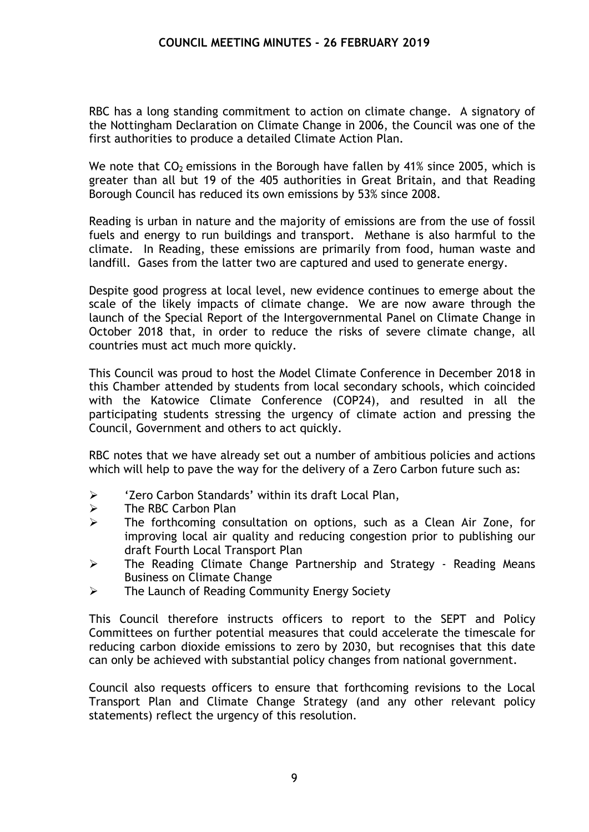RBC has a long standing commitment to action on climate change. A signatory of the Nottingham Declaration on Climate Change in 2006, the Council was one of the first authorities to produce a detailed Climate Action Plan.

We note that  $CO<sub>2</sub>$  emissions in the Borough have fallen by 41% since 2005, which is greater than all but 19 of the 405 authorities in Great Britain, and that Reading Borough Council has reduced its own emissions by 53% since 2008.

Reading is urban in nature and the majority of emissions are from the use of fossil fuels and energy to run buildings and transport. Methane is also harmful to the climate. In Reading, these emissions are primarily from food, human waste and landfill. Gases from the latter two are captured and used to generate energy.

Despite good progress at local level, new evidence continues to emerge about the scale of the likely impacts of climate change. We are now aware through the launch of the Special Report of the Intergovernmental Panel on Climate Change in October 2018 that, in order to reduce the risks of severe climate change, all countries must act much more quickly.

This Council was proud to host the Model Climate Conference in December 2018 in this Chamber attended by students from local secondary schools, which coincided with the Katowice Climate Conference (COP24), and resulted in all the participating students stressing the urgency of climate action and pressing the Council, Government and others to act quickly.

RBC notes that we have already set out a number of ambitious policies and actions which will help to pave the way for the delivery of a Zero Carbon future such as:

- > 'Zero Carbon Standards' within its draft Local Plan,
- $\triangleright$  The RBC Carbon Plan
- The forthcoming consultation on options, such as a Clean Air Zone, for improving local air quality and reducing congestion prior to publishing our draft Fourth Local Transport Plan
- $\triangleright$  The Reading Climate Change Partnership and Strategy Reading Means Business on Climate Change
- **EXECUTE:** The Launch of Reading Community Energy Society

This Council therefore instructs officers to report to the SEPT and Policy Committees on further potential measures that could accelerate the timescale for reducing carbon dioxide emissions to zero by 2030, but recognises that this date can only be achieved with substantial policy changes from national government.

Council also requests officers to ensure that forthcoming revisions to the Local Transport Plan and Climate Change Strategy (and any other relevant policy statements) reflect the urgency of this resolution.